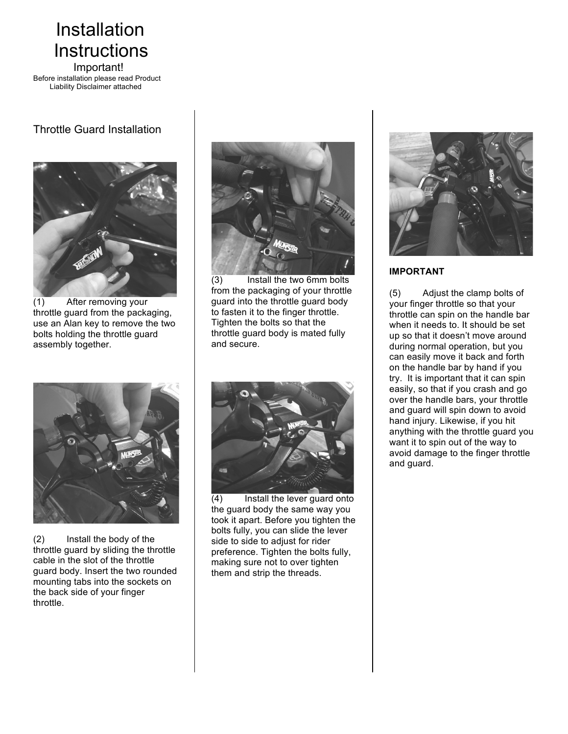# Installation Instructions<br>
Important!

Before installation please read Product Liability Disclaimer attached

## Throttle Guard Installation



(1) After removing your throttle guard from the packaging, use an Alan key to remove the two bolts holding the throttle guard assembly together.



(3) Install the two 6mm bolts from the packaging of your throttle guard into the throttle guard body to fasten it to the finger throttle. Tighten the bolts so that the throttle guard body is mated fully and secure.



(2) Install the body of the throttle guard by sliding the throttle cable in the slot of the throttle guard body. Insert the two rounded mounting tabs into the sockets on the back side of your finger throttle.



(4) Install the lever guard onto the guard body the same way you took it apart. Before you tighten the bolts fully, you can slide the lever side to side to adjust for rider preference. Tighten the bolts fully, making sure not to over tighten them and strip the threads.



### **IMPORTANT**

(5) Adjust the clamp bolts of your finger throttle so that your throttle can spin on the handle bar when it needs to. It should be set up so that it doesn't move around during normal operation, but you can easily move it back and forth on the handle bar by hand if you try. It is important that it can spin easily, so that if you crash and go over the handle bars, your throttle and guard will spin down to avoid hand injury. Likewise, if you hit anything with the throttle guard you want it to spin out of the way to avoid damage to the finger throttle and guard.